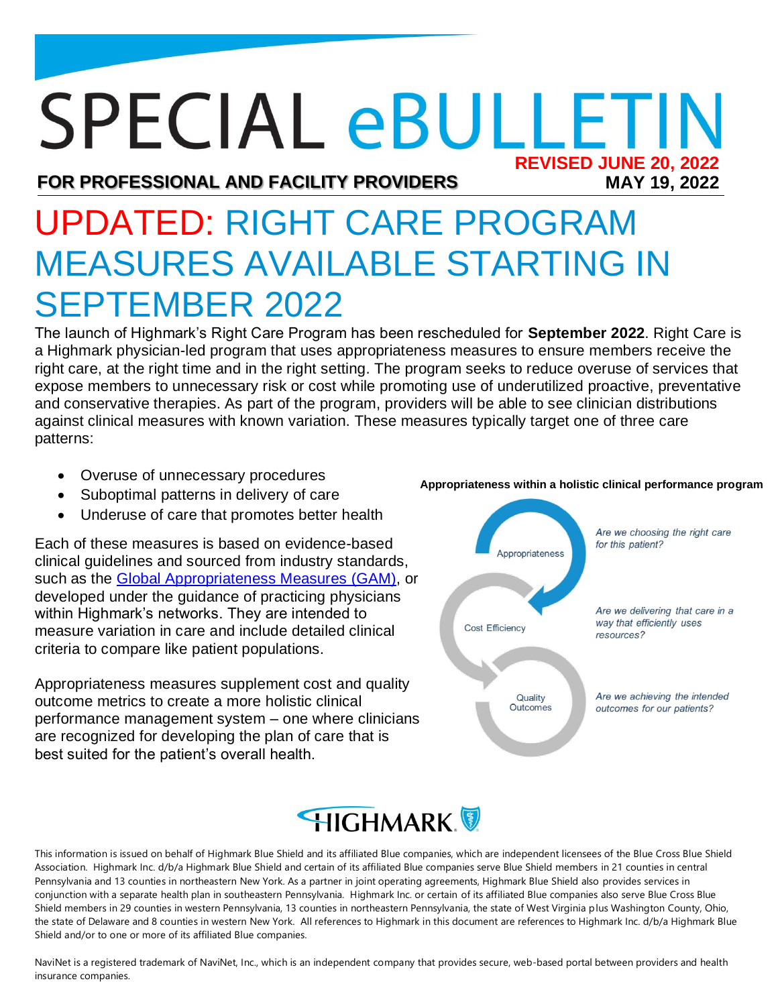## **SPECIAL eBULLETIN REVISED JUNE 20, 2022MAY 19, 2022**

**FOR PROFESSIONAL AND FACILITY PROVIDERS**

# UPDATED: RIGHT CARE PROGRAM MEASURES AVAILABLE STARTING IN SEPTEMBER 2022

The launch of Highmark's Right Care Program has been rescheduled for **September 2022**. Right Care is a Highmark physician-led program that uses appropriateness measures to ensure members receive the right care, at the right time and in the right setting. The program seeks to reduce overuse of services that expose members to unnecessary risk or cost while promoting use of underutilized proactive, preventative and conservative therapies. As part of the program, providers will be able to see clinician distributions against clinical measures with known variation. These measures typically target one of three care patterns:

- Overuse of unnecessary procedures
- Suboptimal patterns in delivery of care
- Underuse of care that promotes better health

Each of these measures is based on evidence-based clinical guidelines and sourced from industry standards, such as the [Global Appropriateness Measures \(GAM\),](https://gameasures.com/) or developed under the guidance of practicing physicians within Highmark's networks. They are intended to measure variation in care and include detailed clinical criteria to compare like patient populations.

Appropriateness measures supplement cost and quality outcome metrics to create a more holistic clinical performance management system – one where clinicians are recognized for developing the plan of care that is best suited for the patient's overall health.



## **HIGHMARK**

This information is issued on behalf of Highmark Blue Shield and its affiliated Blue companies, which are independent licensees of the Blue Cross Blue Shield Association. Highmark Inc. d/b/a Highmark Blue Shield and certain of its affiliated Blue companies serve Blue Shield members in 21 counties in central Pennsylvania and 13 counties in northeastern New York. As a partner in joint operating agreements, Highmark Blue Shield also provides services in conjunction with a separate health plan in southeastern Pennsylvania. Highmark Inc. or certain of its affiliated Blue companies also serve Blue Cross Blue Shield members in 29 counties in western Pennsylvania, 13 counties in northeastern Pennsylvania, the state of West Virginia plus Washington County, Ohio, the state of Delaware and 8 counties in western New York. All references to Highmark in this document are references to Highmark Inc. d/b/a Highmark Blue Shield and/or to one or more of its affiliated Blue companies.

NaviNet is a registered trademark of NaviNet, Inc., which is an independent company that provides secure, web-based portal between providers and health insurance companies.

#### **Appropriateness within a holistic clinical performance program**